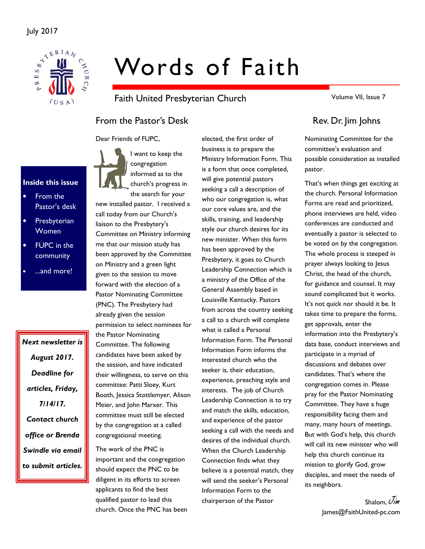

# Words of Faith

Faith United Presbyterian Church

From the Pastor's Desk Rev. Dr. Jim Johns

Dear Friends of FUPC,



• From the Pastor's desk

Inside this issue

- **Presbyterian** Women
- **FUPC** in the community
- ...and more!

Next newsletter is August 2017. Deadline for articles, Friday, 7/14/17. Contact church office or Brenda Swindle via email to submit articles.

I want to keep the congregation informed as to the church's progress in the search for your

new installed pastor. I received a call today from our Church's liaison to the Presbytery's Committee on Ministry informing me that our mission study has been approved by the Committee on Ministry and a green light given to the session to move forward with the election of a Pastor Nominating Committee (PNC). The Presbytery had already given the session permission to select nominees for the Pastor Nominating Committee. The following candidates have been asked by the session, and have indicated their willingness, to serve on this committee: Patti Sloey, Kurt Booth, Jessica Stottlemyer, Alison Meier, and John Marxer. This committee must still be elected by the congregation at a called congregational meeting.

The work of the PNC is important and the congregation should expect the PNC to be diligent in its efforts to screen applicants to find the best qualified pastor to lead this church. Once the PNC has been

elected, the first order of business is to prepare the Ministry Information Form. This is a form that once completed, will give potential pastors seeking a call a description of who our congregation is, what our core values are, and the skills, training, and leadership style our church desires for its new minister. When this form has been approved by the Presbytery, it goes to Church Leadership Connection which is a ministry of the Office of the General Assembly based in Louisville Kentucky. Pastors from across the country seeking a call to a church will complete what is called a Personal Information Form. The Personal Information Form informs the interested church who the seeker is, their education, experience, preaching style and interests. The job of Church Leadership Connection is to try and match the skills, education, and experience of the pastor seeking a call with the needs and desires of the individual church. When the Church Leadership Connection finds what they believe is a potential match, they will send the seeker's Personal Information Form to the chairperson of the Pastor

Volume VII, Issue 7

Nominating Committee for the committee's evaluation and possible consideration as installed pastor.

That's when things get exciting at the church. Personal Information Forms are read and prioritized, phone interviews are held, video conferences are conducted and eventually a pastor is selected to be voted on by the congregation. The whole process is steeped in prayer always looking to Jesus Christ, the head of the church, for guidance and counsel. It may sound complicated but it works. It's not quick nor should it be. It takes time to prepare the forms, get approvals, enter the information into the Presbytery's data base, conduct interviews and participate in a myriad of discussions and debates over candidates. That's where the congregation comes in. Please pray for the Pastor Nominating Committee. They have a huge responsibility facing them and many, many hours of meetings. But with God's help, this church will call its new minister who will help this church continue its mission to glorify God, grow disciples, and meet the needs of its neighbors.

> Shalom, Uim James@FaithUnited-pc.com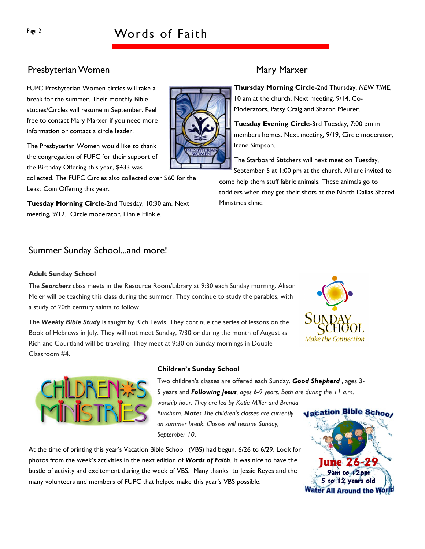# Page 2 Words of Faith

### Presbyterian Women Mary Marxer

FUPC Presbyterian Women circles will take a break for the summer. Their monthly Bible studies/Circles will resume in September. Feel free to contact Mary Marxer if you need more information or contact a circle leader.

The Presbyterian Women would like to thank the congregation of FUPC for their support of the Birthday Offering this year, \$433 was

collected. The FUPC Circles also collected over \$60 for the Least Coin Offering this year.

Tuesday Morning Circle-2nd Tuesday, 10:30 am. Next meeting, 9/12. Circle moderator, Linnie Hinkle.

### Summer Sunday School...and more!

#### Adult Sunday School

The Searchers class meets in the Resource Room/Library at 9:30 each Sunday morning. Alison Meier will be teaching this class during the summer. They continue to study the parables, with a study of 20th century saints to follow.

The Weekly Bible Study is taught by Rich Lewis. They continue the series of lessons on the Book of Hebrews in July. They will not meet Sunday, 7/30 or during the month of August as Rich and Courtland will be traveling. They meet at 9:30 on Sunday mornings in Double Classroom #4.

#### Children's Sunday School

Two children's classes are offered each Sunday. Good Shepherd, ages 3-5 years and Following Jesus, ages 6-9 years. Both are during the 11 a.m. worship hour. They are led by Katie Miller and Brenda Burkham. Note: The children's classes are currently on summer break. Classes will resume Sunday, September 10.

At the time of printing this year's Vacation Bible School (VBS) had begun, 6/26 to 6/29. Look for photos from the week's activities in the next edition of Words of Faith. It was nice to have the bustle of activity and excitement during the week of VBS. Many thanks to Jessie Reyes and the many volunteers and members of FUPC that helped make this year's VBS possible.

Thursday Morning Circle-2nd Thursday, NEW TIME, 10 am at the church, Next meeting, 9/14. Co-Moderators, Patsy Craig and Sharon Meurer.

Tuesday Evening Circle-3rd Tuesday, 7:00 pm in members homes. Next meeting, 9/19, Circle moderator, Irene Simpson.

The Starboard Stitchers will next meet on Tuesday, September 5 at 1:00 pm at the church. All are invited to come help them stuff fabric animals. These animals go to toddlers when they get their shots at the North Dallas Shared Ministries clinic.







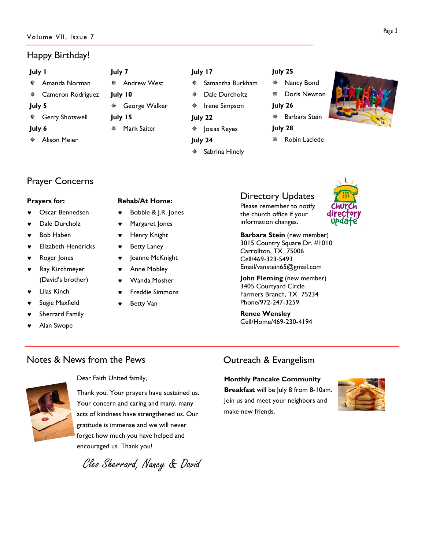#### Volume VII, Issue 7

### Happy Birthday!

| July I | July 7                 |               |
|--------|------------------------|---------------|
| 泰      | Amanda Norman          | A             |
|        | ** Cameron Rodriguez   | <b>July I</b> |
| July 5 |                        | ※ G           |
| ※      | <b>Gerry Shotswell</b> | <b>July I</b> |
| July 6 | м<br>张                 |               |

Alison Meier

# ndrew West  $\mathbf{0}$ eorge Walker  $\overline{5}$ ark Saiter

#### July 17

- Samantha Burkham
	- Dale Durcholtz
	- Irene Simpson
- Josias Reyes
- July 24

July 22

Sabrina Hinely

#### July 25

- Nancy Bond
- Doris Newton
- July 26
	- Barbara Stein
- July 28
- Robin Laclede



# Prayer Concerns

#### Prayers for:

- Oscar Bennedsen
- Dale Durcholz
- **Bob Haben**
- **Elizabeth Hendricks**
- Roger Jones
- ♥ Ray Kirchmeyer (David's brother)
- Lilas Kinch
- Sugie Maxfield
- Sherrard Family
- Alan Swope

#### Rehab/At Home:

- Bobbie & J.R. Jones
- Margaret Jones
- Henry Knight
- ♥ Betty Laney
- Joanne McKnight
- Anne Mobley
- 
- **Freddie Simmons**
- **Betty Van**

# Directory Updates

Please remember to notify the church office if your information changes.



Barbara Stein (new member) 3015 Country Square Dr. #1010 Carrollton, TX 75006 Cell/469-323-5493 Email/vanstein65@gmail.com

John Fleming (new member) 3405 Courtyard Circle Farmers Branch, TX 75234 Phone/972-247-3259

Renee Wensley Cell/Home/469-230-4194

## Notes & News from the Pews



Dear Faith United family,

Thank you. Your prayers have sustained us. Your concern and caring and many, many acts of kindness have strengthened us. Our gratitude is immense and we will never forget how much you have helped and encouraged us. Thank you!

Cleo Sherrard, Nancy & David

# Outreach & Evangelism

#### Monthly Pancake Community

Breakfast will be July 8 from 8-10am. Join us and meet your neighbors and make new friends.





- 
- 
- 
- 
- 
- Wanda Mosher
- 
-